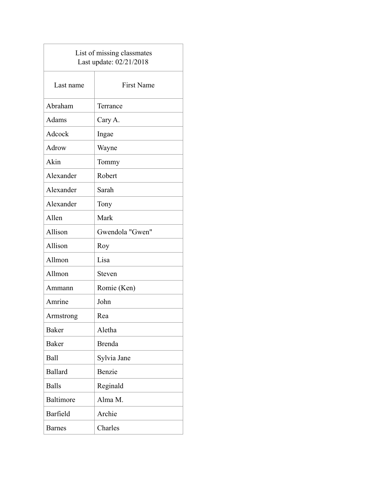| List of missing classmates<br>Last update: 02/21/2018 |                   |  |
|-------------------------------------------------------|-------------------|--|
| Last name                                             | <b>First Name</b> |  |
| Abraham                                               | Terrance          |  |
| Adams                                                 | Cary A.           |  |
| Adcock                                                | Ingae             |  |
| Adrow                                                 | Wayne             |  |
| Akin                                                  | Tommy             |  |
| Alexander                                             | Robert            |  |
| Alexander                                             | Sarah             |  |
| Alexander                                             | Tony              |  |
| Allen                                                 | Mark              |  |
| Allison                                               | Gwendola "Gwen"   |  |
| Allison                                               | Roy               |  |
| Allmon                                                | Lisa              |  |
| Allmon                                                | <b>Steven</b>     |  |
| Ammann                                                | Romie (Ken)       |  |
| Amrine                                                | John              |  |
| Armstrong                                             | Rea               |  |
| <b>Baker</b>                                          | Aletha            |  |
| <b>Baker</b>                                          | <b>Brenda</b>     |  |
| Ball                                                  | Sylvia Jane       |  |
| <b>Ballard</b>                                        | Benzie            |  |
| <b>Balls</b>                                          | Reginald          |  |
| <b>Baltimore</b>                                      | Alma M.           |  |
| Barfield                                              | Archie            |  |
| <b>Barnes</b>                                         | Charles           |  |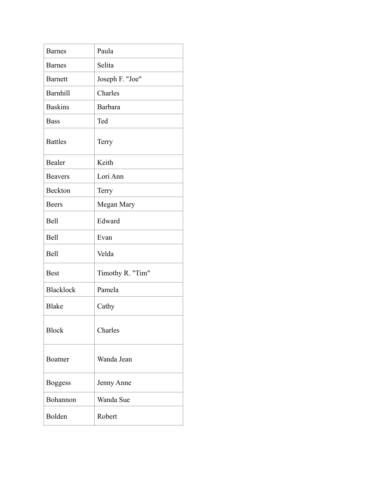| <b>Barnes</b>    | Paula            |
|------------------|------------------|
| <b>Barnes</b>    | Selita           |
|                  |                  |
| <b>Barnett</b>   | Joseph F. "Joe"  |
| <b>Barnhill</b>  | Charles          |
| <b>Baskins</b>   | <b>Barbara</b>   |
| <b>Bass</b>      | Ted              |
| <b>Battles</b>   | Terry            |
| Bealer           | Keith            |
| <b>Beavers</b>   | Lori Ann         |
| <b>Beckton</b>   | Terry            |
| <b>Beers</b>     | Megan Mary       |
| Bell             | Edward           |
| Bell             | Evan             |
| Bell             | Velda            |
| <b>Best</b>      | Timothy R. "Tim" |
| <b>Blacklock</b> | Pamela           |
| <b>Blake</b>     | Cathy            |
| <b>Block</b>     | Charles          |
| Boatner          | Wanda Jean       |
| <b>Boggess</b>   | Jenny Anne       |
| Bohannon         | Wanda Sue        |
| Bolden           | Robert           |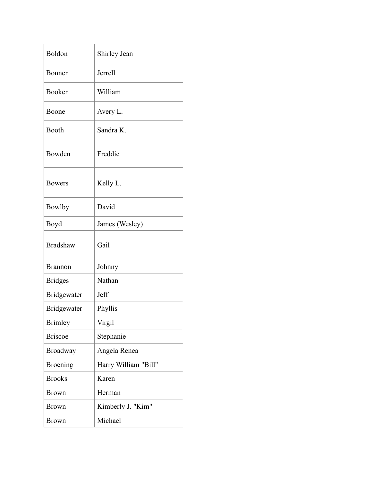| Boldon             | Shirley Jean         |
|--------------------|----------------------|
| Bonner             | <b>Jerrell</b>       |
| <b>Booker</b>      | William              |
| Boone              | Avery L.             |
| Booth              | Sandra K.            |
| Bowden             | Freddie              |
| <b>Bowers</b>      | Kelly L.             |
| <b>Bowlby</b>      | David                |
| Boyd               | James (Wesley)       |
| <b>Bradshaw</b>    | Gail                 |
|                    |                      |
| <b>Brannon</b>     | Johnny               |
| <b>Bridges</b>     | Nathan               |
| Bridgewater        | Jeff                 |
| <b>Bridgewater</b> | Phyllis              |
| <b>Brimley</b>     | Virgil               |
| <b>Briscoe</b>     | Stephanie            |
| Broadway           | Angela Renea         |
| <b>Broening</b>    | Harry William "Bill" |
| <b>Brooks</b>      | Karen                |
| <b>Brown</b>       | Herman               |
| <b>Brown</b>       | Kimberly J. "Kim"    |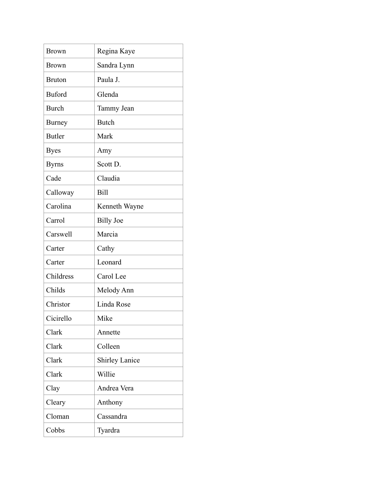| <b>Brown</b>  | Regina Kaye           |
|---------------|-----------------------|
| <b>Brown</b>  | Sandra Lynn           |
| <b>Bruton</b> | Paula J.              |
| <b>Buford</b> | Glenda                |
| <b>Burch</b>  | Tammy Jean            |
| <b>Burney</b> | <b>Butch</b>          |
| <b>Butler</b> | Mark                  |
| <b>Byes</b>   | Amy                   |
| <b>Byrns</b>  | Scott D.              |
| Cade          | Claudia               |
| Calloway      | <b>Bill</b>           |
| Carolina      | Kenneth Wayne         |
| Carrol        | <b>Billy Joe</b>      |
| Carswell      | Marcia                |
| Carter        | Cathy                 |
| Carter        | Leonard               |
| Childress     | Carol Lee             |
| Childs        | Melody Ann            |
| Christor      | Linda Rose            |
| Cicirello     | Mike                  |
| Clark         | Annette               |
| Clark         | Colleen               |
| Clark         | <b>Shirley Lanice</b> |
| Clark         | Willie                |
| Clay          | Andrea Vera           |
| Cleary        | Anthony               |
| Cloman        | Cassandra             |
| Cobbs         | Tyardra               |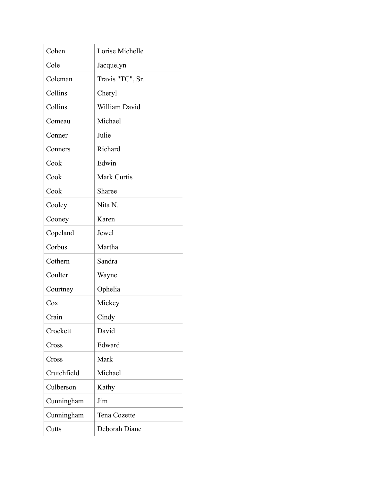| Cohen       | Lorise Michelle  |
|-------------|------------------|
| Cole        | Jacquelyn        |
| Coleman     | Travis "TC", Sr. |
| Collins     | Cheryl           |
| Collins     | William David    |
| Comeau      | Michael          |
| Conner      | Julie            |
| Conners     | Richard          |
| Cook        | Edwin            |
| Cook        | Mark Curtis      |
| Cook        | Sharee           |
| Cooley      | Nita N.          |
| Cooney      | Karen            |
| Copeland    | Jewel            |
| Corbus      | Martha           |
| Cothern     | Sandra           |
| Coulter     | Wayne            |
| Courtney    | Ophelia          |
| Cox         | Mickey           |
| Crain       | Cindy            |
| Crockett    | David            |
| Cross       | Edward           |
| Cross       | Mark             |
| Crutchfield | Michael          |
| Culberson   | Kathy            |
| Cunningham  | Jim              |
| Cunningham  | Tena Cozette     |
| Cutts       | Deborah Diane    |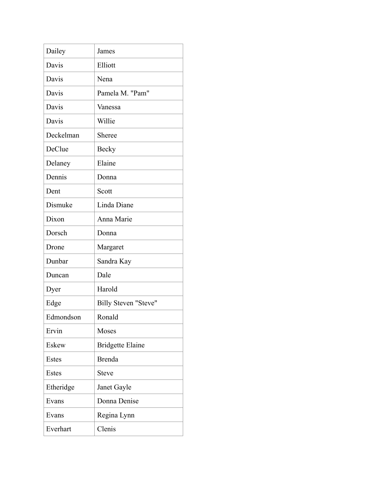| Dailey    | James                   |
|-----------|-------------------------|
| Davis     | Elliott                 |
| Davis     | Nena                    |
| Davis     | Pamela M. "Pam"         |
| Davis     | Vanessa                 |
| Davis     | Willie                  |
| Deckelman | Sheree                  |
| DeClue    | <b>Becky</b>            |
| Delaney   | Elaine                  |
| Dennis    | Donna                   |
| Dent      | Scott                   |
| Dismuke   | Linda Diane             |
| Dixon     | Anna Marie              |
| Dorsch    | Donna                   |
| Drone     | Margaret                |
| Dunbar    | Sandra Kay              |
| Duncan    | Dale                    |
| Dyer      | Harold                  |
| Edge      | Billy Steven "Steve"    |
| Edmondson | Ronald                  |
| Ervin     | Moses                   |
| Eskew     | <b>Bridgette Elaine</b> |
| Estes     | <b>Brenda</b>           |
| Estes     | <b>Steve</b>            |
| Etheridge | Janet Gayle             |
| Evans     | Donna Denise            |
| Evans     | Regina Lynn             |
| Everhart  | Clenis                  |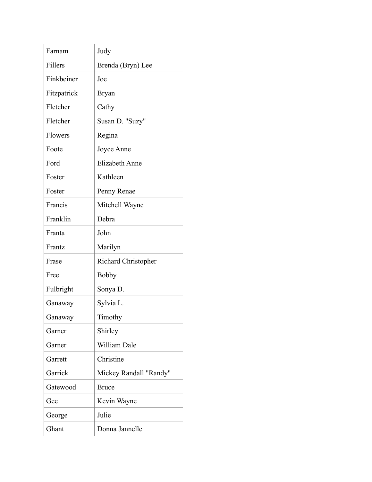| Farnam      | Judy                   |
|-------------|------------------------|
| Fillers     | Brenda (Bryn) Lee      |
| Finkbeiner  | Joe                    |
| Fitzpatrick | <b>Bryan</b>           |
| Fletcher    | Cathy                  |
| Fletcher    | Susan D. "Suzy"        |
| Flowers     | Regina                 |
| Foote       | Joyce Anne             |
| Ford        | <b>Elizabeth Anne</b>  |
| Foster      | Kathleen               |
| Foster      | Penny Renae            |
| Francis     | Mitchell Wayne         |
| Franklin    | Debra                  |
| Franta      | John                   |
| Frantz      | Marilyn                |
| Frase       | Richard Christopher    |
| Free        | <b>Bobby</b>           |
| Fulbright   | Sonya D.               |
| Ganaway     | Sylvia L.              |
| Ganaway     | Timothy                |
| Garner      | Shirley                |
| Garner      | William Dale           |
| Garrett     | Christine              |
| Garrick     | Mickey Randall "Randy" |
| Gatewood    | <b>Bruce</b>           |
| Gee         | Kevin Wayne            |
| George      | Julie                  |
| Ghant       | Donna Jannelle         |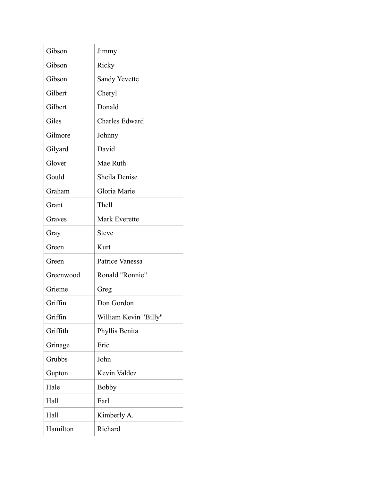| Gibson    | Jimmy                 |
|-----------|-----------------------|
| Gibson    | Ricky                 |
| Gibson    | <b>Sandy Yevette</b>  |
| Gilbert   | Cheryl                |
| Gilbert   | Donald                |
| Giles     | Charles Edward        |
| Gilmore   | Johnny                |
| Gilyard   | David                 |
| Glover    | Mae Ruth              |
| Gould     | Sheila Denise         |
| Graham    | Gloria Marie          |
| Grant     | Thell                 |
| Graves    | <b>Mark Everette</b>  |
| Gray      | <b>Steve</b>          |
| Green     | Kurt                  |
| Green     | Patrice Vanessa       |
| Greenwood | Ronald "Ronnie"       |
| Grieme    | Greg                  |
| Griffin   | Don Gordon            |
| Griffin   | William Kevin "Billy" |
| Griffith  | Phyllis Benita        |
| Grinage   | Eric                  |
| Grubbs    | John                  |
| Gupton    | Kevin Valdez          |
| Hale      | <b>Bobby</b>          |
| Hall      | Earl                  |
| Hall      | Kimberly A.           |
| Hamilton  | Richard               |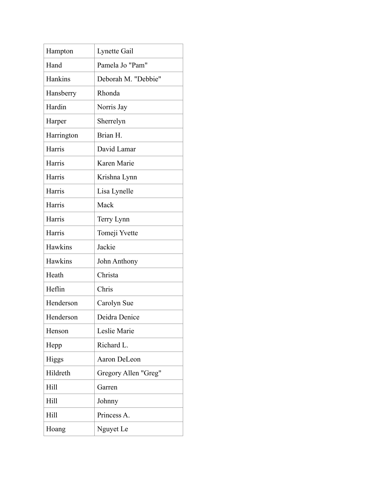| Hampton    | Lynette Gail         |
|------------|----------------------|
| Hand       | Pamela Jo "Pam"      |
| Hankins    | Deborah M. "Debbie"  |
| Hansberry  | Rhonda               |
| Hardin     | Norris Jay           |
| Harper     | Sherrelyn            |
| Harrington | Brian H.             |
| Harris     | David Lamar          |
| Harris     | Karen Marie          |
| Harris     | Krishna Lynn         |
| Harris     | Lisa Lynelle         |
| Harris     | Mack                 |
| Harris     | Terry Lynn           |
| Harris     | Tomeji Yvette        |
| Hawkins    | Jackie               |
| Hawkins    | John Anthony         |
| Heath      | Christa              |
| Heflin     | Chris                |
| Henderson  | Carolyn Sue          |
| Henderson  | Deidra Denice        |
| Henson     | Leslie Marie         |
| Hepp       | Richard L.           |
| Higgs      | Aaron DeLeon         |
| Hildreth   | Gregory Allen "Greg" |
| Hill       | Garren               |
| Hill       | Johnny               |
| Hill       | Princess A.          |
| Hoang      | Nguyet Le            |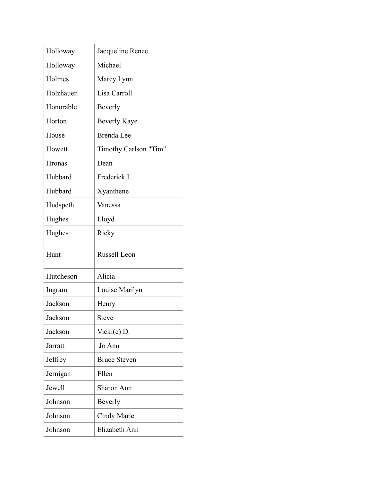| Holloway  | Jacqueline Renee      |
|-----------|-----------------------|
| Holloway  | Michael               |
| Holmes    | Marcy Lynn            |
| Holzhauer | Lisa Carroll          |
| Honorable | Beverly               |
| Horton    | <b>Beverly Kaye</b>   |
| House     | Brenda Lee            |
| Howett    | Timothy Carlson "Tim" |
| Hronas    | Dean                  |
| Hubbard   | Frederick L.          |
| Hubbard   | Xyanthene             |
| Hudspeth  | Vanessa               |
| Hughes    | Lloyd                 |
| Hughes    | Ricky                 |
|           |                       |
| Hunt      | Russell Leon          |
| Hutcheson | Alicia                |
| Ingram    | Louise Marilyn        |
| Jackson   | Henry                 |
| Jackson   | Steve                 |
| Jackson   | Vicki $(e)$ D.        |
| Jarratt   | Jo Ann                |
| Jeffrey   | <b>Bruce Steven</b>   |
| Jernigan  | Ellen                 |
| Jewell    | Sharon Ann            |
| Johnson   | Beverly               |
| Johnson   | Cindy Marie           |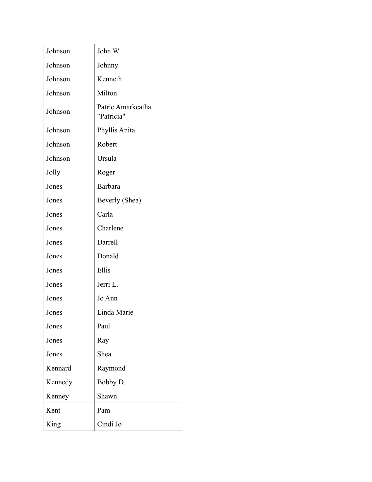| Johnson | John W.                         |
|---------|---------------------------------|
| Johnson | Johnny                          |
| Johnson | Kenneth                         |
| Johnson | Milton                          |
| Johnson | Patric Amarkeatha<br>"Patricia" |
| Johnson | Phyllis Anita                   |
| Johnson | Robert                          |
| Johnson | Ursula                          |
| Jolly   | Roger                           |
| Jones   | <b>Barbara</b>                  |
| Jones   | Beverly (Shea)                  |
| Jones   | Carla                           |
| Jones   | Charlene                        |
| Jones   | Darrell                         |
| Jones   | Donald                          |
| Jones   | Ellis                           |
| Jones   | Jerri L.                        |
| Jones   | Jo Ann                          |
| Jones   | Linda Marie                     |
| Jones   | Paul                            |
| Jones   | Ray                             |
| Jones   | Shea                            |
| Kennard | Raymond                         |
| Kennedy | Bobby D.                        |
| Kenney  | Shawn                           |
| Kent    | Pam                             |
| King    | Cindi Jo                        |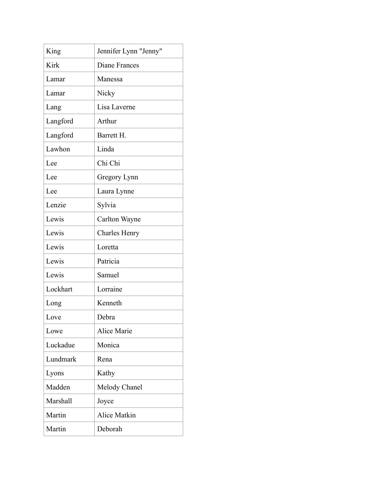| King        | Jennifer Lynn "Jenny" |
|-------------|-----------------------|
| <b>Kirk</b> | Diane Frances         |
| Lamar       | Manessa               |
| Lamar       | Nicky                 |
| Lang        | Lisa Laverne          |
| Langford    | Arthur                |
| Langford    | Barrett H.            |
| Lawhon      | Linda                 |
| Lee         | Chi Chi               |
| Lee         | Gregory Lynn          |
| Lee         | Laura Lynne           |
| Lenzie      | Sylvia                |
| Lewis       | Carlton Wayne         |
| Lewis       | <b>Charles Henry</b>  |
| Lewis       | Loretta               |
| Lewis       | Patricia              |
| Lewis       | Samuel                |
| Lockhart    | Lorraine              |
| Long        | Kenneth               |
| Love        | Debra                 |
| Lowe        | Alice Marie           |
| Luckadue    | Monica                |
| Lundmark    | Rena                  |
| Lyons       | Kathy                 |
| Madden      | Melody Chanel         |
| Marshall    | Joyce                 |
| Martin      | Alice Matkin          |
|             |                       |
| Martin      | Deborah               |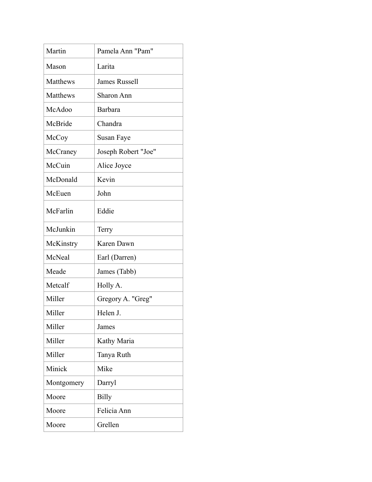| Martin     | Pamela Ann "Pam"     |
|------------|----------------------|
| Mason      | Larita               |
| Matthews   | <b>James Russell</b> |
| Matthews   | <b>Sharon Ann</b>    |
| McAdoo     | Barbara              |
| McBride    | Chandra              |
| McCoy      | Susan Faye           |
| McCraney   | Joseph Robert "Joe"  |
| McCuin     | Alice Joyce          |
| McDonald   | Kevin                |
| McEuen     | John                 |
| McFarlin   | Eddie                |
| McJunkin   | Terry                |
|            |                      |
| McKinstry  | Karen Dawn           |
| McNeal     | Earl (Darren)        |
| Meade      | James (Tabb)         |
| Metcalf    | Holly A.             |
| Miller     | Gregory A. "Greg"    |
| Miller     | Helen J.             |
| Miller     | James                |
| Miller     | Kathy Maria          |
| Miller     | Tanya Ruth           |
| Minick     | Mike                 |
| Montgomery | Darryl               |
| Moore      | <b>Billy</b>         |
| Moore      | Felicia Ann          |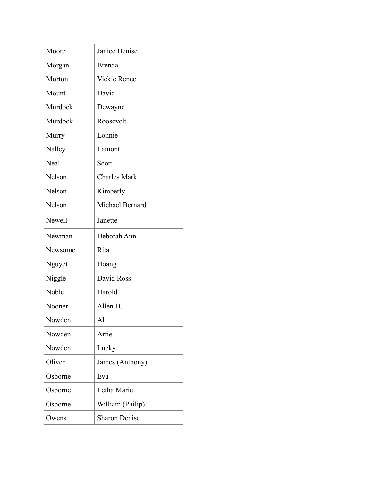| Moore       | Janice Denise        |
|-------------|----------------------|
| Morgan      | <b>Brenda</b>        |
| Morton      | <b>Vickie Renee</b>  |
| Mount       | David                |
| Murdock     | Dewayne              |
| Murdock     | Roosevelt            |
| Murry       | Lonnie               |
| Nalley      | Lamont               |
| <b>Neal</b> | Scott                |
| Nelson      | <b>Charles Mark</b>  |
| Nelson      | Kimberly             |
| Nelson      | Michael Bernard      |
| Newell      | Janette              |
| Newman      | Deborah Ann          |
| Newsome     | Rita                 |
| Nguyet      | Hoang                |
| Niggle      | David Ross           |
| Noble       | Harold               |
| Nooner      | Allen D.             |
| Nowden      | $\mathbf{A}$         |
| Nowden      | Artie                |
| Nowden      | Lucky                |
| Oliver      | James (Anthony)      |
| Osborne     | Eva                  |
| Osborne     | Letha Marie          |
| Osborne     | William (Philip)     |
| Owens       | <b>Sharon Denise</b> |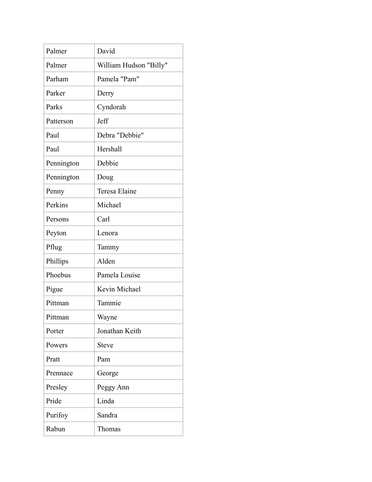| Palmer     | David                  |
|------------|------------------------|
| Palmer     | William Hudson "Billy" |
| Parham     | Pamela "Pam"           |
| Parker     | Derry                  |
| Parks      | Cyndorah               |
| Patterson  | Jeff                   |
| Paul       | Debra "Debbie"         |
| Paul       | Hershall               |
| Pennington | Debbie                 |
| Pennington | Doug                   |
| Penny      | Teresa Elaine          |
| Perkins    | Michael                |
| Persons    | Carl                   |
| Peyton     | Lenora                 |
| Pflug      | Tammy                  |
| Phillips   | Alden                  |
| Phoebus    | Pamela Louise          |
| Pigue      | Kevin Michael          |
| Pittman    | Tammie                 |
| Pittman    | Wayne                  |
| Porter     | Jonathan Keith         |
| Powers     | <b>Steve</b>           |
| Pratt      | Pam                    |
| Prennace   | George                 |
| Presley    | Peggy Ann              |
| Pride      | Linda                  |
| Purifoy    | Sandra                 |
| Rabun      | Thomas                 |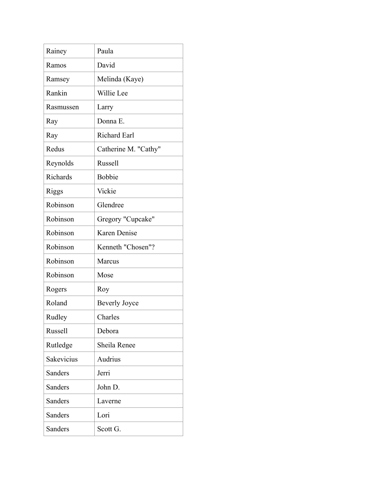| Rainey         | Paula                |
|----------------|----------------------|
| Ramos          | David                |
| Ramsey         | Melinda (Kaye)       |
| Rankin         | Willie Lee           |
| Rasmussen      | Larry                |
| Ray            | Donna E.             |
| Ray            | <b>Richard Earl</b>  |
| Redus          | Catherine M. "Cathy" |
| Reynolds       | Russell              |
| Richards       | <b>Bobbie</b>        |
| Riggs          | Vickie               |
| Robinson       | Glendree             |
| Robinson       | Gregory "Cupcake"    |
| Robinson       | <b>Karen Denise</b>  |
| Robinson       | Kenneth "Chosen"?    |
| Robinson       | Marcus               |
| Robinson       | Mose                 |
| Rogers         | Roy                  |
| Roland         | <b>Beverly Joyce</b> |
| Rudley         | Charles              |
| <b>Russell</b> | Debora               |
| Rutledge       | Sheila Renee         |
| Sakevicius     | Audrius              |
| Sanders        | Jerri                |
| Sanders        | John D.              |
| Sanders        | Laverne              |
| Sanders        | Lori                 |
| Sanders        | Scott G.             |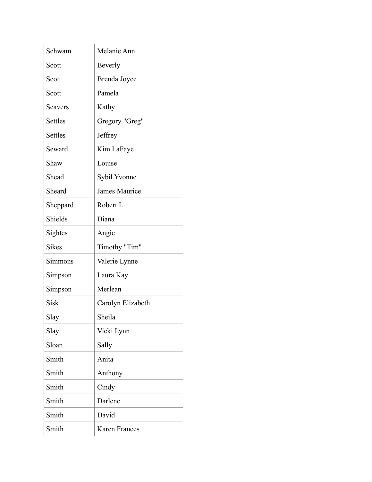| Schwam       | Melanie Ann          |
|--------------|----------------------|
| Scott        | <b>Beverly</b>       |
| Scott        | Brenda Joyce         |
| Scott        | Pamela               |
| Seavers      | Kathy                |
| Settles      | Gregory "Greg"       |
| Settles      | Jeffrey              |
| Seward       | Kim LaFaye           |
| Shaw         | Louise               |
| Shead        | Sybil Yvonne         |
| Sheard       | <b>James Maurice</b> |
| Sheppard     | Robert L.            |
| Shields      | Diana                |
| Sightes      | Angie                |
| <b>Sikes</b> | Timothy "Tim"        |
| Simmons      | Valerie Lynne        |
| Simpson      | Laura Kay            |
| Simpson      | Merlean              |
| <b>Sisk</b>  | Carolyn Elizabeth    |
| Slay         | Sheila               |
| Slay         | Vicki Lynn           |
| Sloan        | Sally                |
| Smith        | Anita                |
| Smith        | Anthony              |
| Smith        | Cindy                |
| Smith        | Darlene              |
| Smith        | David                |
| Smith        | <b>Karen Frances</b> |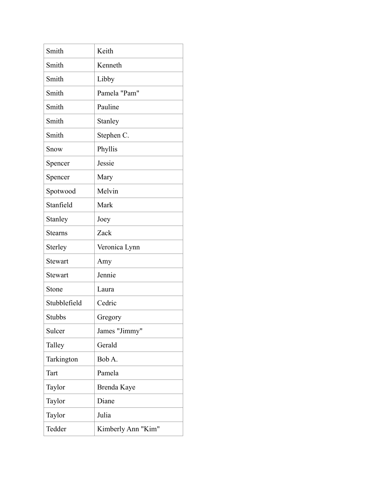| Smith          | Keith              |
|----------------|--------------------|
| Smith          | Kenneth            |
| Smith          | Libby              |
| Smith          | Pamela "Pam"       |
| Smith          | Pauline            |
| Smith          | Stanley            |
| Smith          | Stephen C.         |
| Snow           | Phyllis            |
| Spencer        | Jessie             |
| Spencer        | Mary               |
| Spotwood       | Melvin             |
| Stanfield      | Mark               |
| Stanley        | Joey               |
| <b>Stearns</b> | Zack               |
| Sterley        | Veronica Lynn      |
| <b>Stewart</b> | Amy                |
| <b>Stewart</b> | Jennie             |
| Stone          | Laura              |
| Stubblefield   | Cedric             |
| <b>Stubbs</b>  | Gregory            |
| Sulcer         | James "Jimmy"      |
| Talley         | Gerald             |
| Tarkington     | Bob A.             |
| Tart           | Pamela             |
| Taylor         | Brenda Kaye        |
| Taylor         | Diane              |
| Taylor         | Julia              |
| Tedder         | Kimberly Ann "Kim" |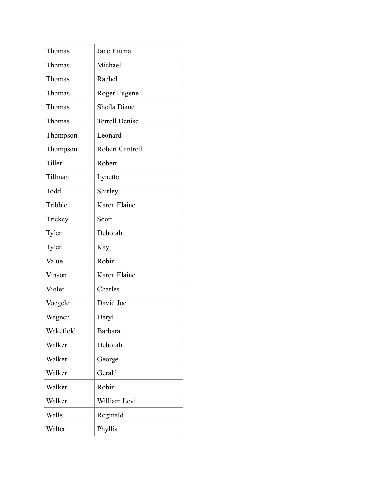| Thomas    | Jane Emma              |
|-----------|------------------------|
| Thomas    | Michael                |
| Thomas    | Rachel                 |
| Thomas    | Roger Eugene           |
| Thomas    | Sheila Diane           |
| Thomas    | <b>Terrell Denise</b>  |
| Thompson  | Leonard                |
| Thompson  | <b>Robert Cantrell</b> |
| Tiller    | Robert                 |
| Tillman   | Lynette                |
| Todd      | Shirley                |
| Tribble   | Karen Elaine           |
| Trickey   | Scott                  |
| Tyler     | Deborah                |
| Tyler     | Kay                    |
| Value     | Robin                  |
| Vinson    | Karen Elaine           |
| Violet    | Charles                |
| Voegele   | David Joe              |
| Wagner    | Daryl                  |
| Wakefield | Barbara                |
| Walker    | Deborah                |
| Walker    | George                 |
| Walker    | Gerald                 |
| Walker    | Robin                  |
| Walker    | William Levi           |
| Walls     | Reginald               |
| Walter    | Phyllis                |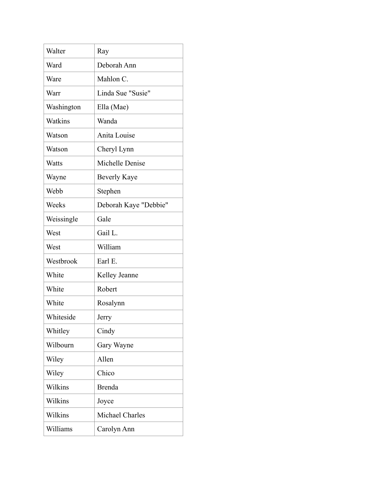| Walter     | Ray                   |
|------------|-----------------------|
| Ward       | Deborah Ann           |
| Ware       | Mahlon C.             |
| Warr       | Linda Sue "Susie"     |
| Washington | Ella (Mae)            |
| Watkins    | Wanda                 |
| Watson     | Anita Louise          |
| Watson     | Cheryl Lynn           |
| Watts      | Michelle Denise       |
| Wayne      | <b>Beverly Kaye</b>   |
| Webb       | Stephen               |
| Weeks      | Deborah Kaye "Debbie" |
| Weissingle | Gale                  |
| West       | Gail L.               |
| West       | William               |
| Westbrook  | Earl E.               |
| White      | Kelley Jeanne         |
| White      | Robert                |
| White      | Rosalynn              |
| Whiteside  | Jerry                 |
| Whitley    | Cindy                 |
| Wilbourn   | Gary Wayne            |
| Wiley      | Allen                 |
| Wiley      | Chico                 |
| Wilkins    | <b>Brenda</b>         |
| Wilkins    | Joyce                 |
| Wilkins    | Michael Charles       |
| Williams   | Carolyn Ann           |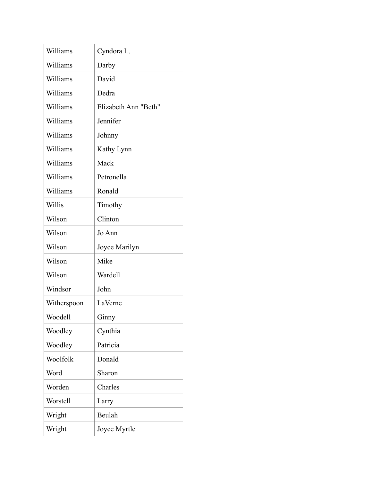| Williams    | Cyndora L.           |
|-------------|----------------------|
| Williams    | Darby                |
| Williams    | David                |
| Williams    | Dedra                |
| Williams    | Elizabeth Ann "Beth" |
| Williams    | Jennifer             |
| Williams    | Johnny               |
| Williams    | Kathy Lynn           |
| Williams    | Mack                 |
| Williams    | Petronella           |
| Williams    | Ronald               |
| Willis      | Timothy              |
| Wilson      | Clinton              |
| Wilson      | Jo Ann               |
| Wilson      | Joyce Marilyn        |
| Wilson      | Mike                 |
| Wilson      | Wardell              |
| Windsor     | John                 |
| Witherspoon | LaVerne              |
| Woodell     | Ginny                |
| Woodley     | Cynthia              |
| Woodley     | Patricia             |
| Woolfolk    | Donald               |
| Word        | Sharon               |
| Worden      | Charles              |
| Worstell    | Larry                |
| Wright      | Beulah               |
| Wright      | Joyce Myrtle         |